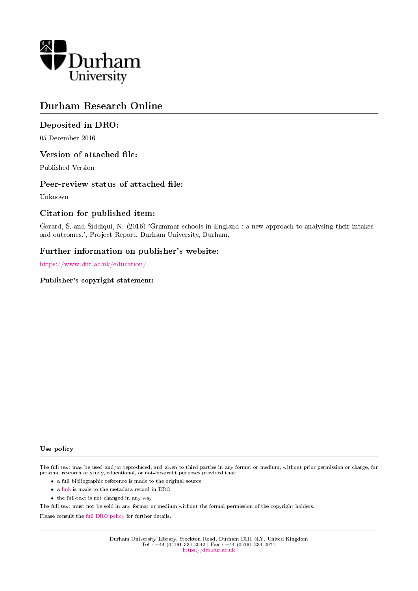

# Durham Research Online

## Deposited in DRO:

05 December 2016

## Version of attached file:

Published Version

#### Peer-review status of attached file:

Unknown

## Citation for published item:

Gorard, S. and Siddiqui, N. (2016) 'Grammar schools in England : a new approach to analysing their intakes and outcomes.', Project Report. Durham University, Durham.

## Further information on publisher's website:

<https://www.dur.ac.uk/education/>

#### Publisher's copyright statement:

#### Use policy

The full-text may be used and/or reproduced, and given to third parties in any format or medium, without prior permission or charge, for personal research or study, educational, or not-for-profit purposes provided that:

- a full bibliographic reference is made to the original source
- a [link](http://dro.dur.ac.uk/20400/) is made to the metadata record in DRO
- the full-text is not changed in any way

The full-text must not be sold in any format or medium without the formal permission of the copyright holders.

Please consult the [full DRO policy](https://dro.dur.ac.uk/policies/usepolicy.pdf) for further details.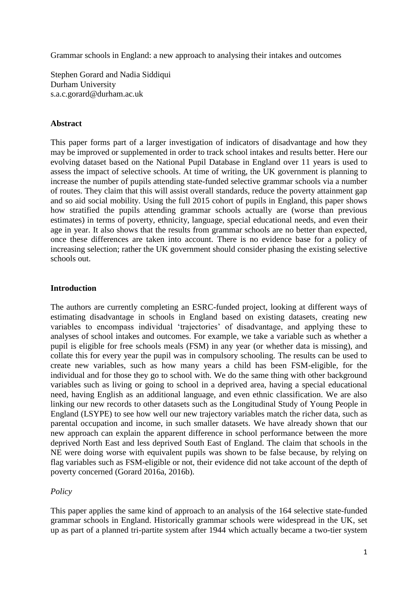Grammar schools in England: a new approach to analysing their intakes and outcomes

Stephen Gorard and Nadia Siddiqui Durham University [s.a.c.gorard@durham.ac.uk](mailto:s.a.c.gorard@durham.ac.uk)

## **Abstract**

This paper forms part of a larger investigation of indicators of disadvantage and how they may be improved or supplemented in order to track school intakes and results better. Here our evolving dataset based on the National Pupil Database in England over 11 years is used to assess the impact of selective schools. At time of writing, the UK government is planning to increase the number of pupils attending state-funded selective grammar schools via a number of routes. They claim that this will assist overall standards, reduce the poverty attainment gap and so aid social mobility. Using the full 2015 cohort of pupils in England, this paper shows how stratified the pupils attending grammar schools actually are (worse than previous estimates) in terms of poverty, ethnicity, language, special educational needs, and even their age in year. It also shows that the results from grammar schools are no better than expected, once these differences are taken into account. There is no evidence base for a policy of increasing selection; rather the UK government should consider phasing the existing selective schools out.

## **Introduction**

The authors are currently completing an ESRC-funded project, looking at different ways of estimating disadvantage in schools in England based on existing datasets, creating new variables to encompass individual 'trajectories' of disadvantage, and applying these to analyses of school intakes and outcomes. For example, we take a variable such as whether a pupil is eligible for free schools meals (FSM) in any year (or whether data is missing), and collate this for every year the pupil was in compulsory schooling. The results can be used to create new variables, such as how many years a child has been FSM-eligible, for the individual and for those they go to school with. We do the same thing with other background variables such as living or going to school in a deprived area, having a special educational need, having English as an additional language, and even ethnic classification. We are also linking our new records to other datasets such as the Longitudinal Study of Young People in England (LSYPE) to see how well our new trajectory variables match the richer data, such as parental occupation and income, in such smaller datasets. We have already shown that our new approach can explain the apparent difference in school performance between the more deprived North East and less deprived South East of England. The claim that schools in the NE were doing worse with equivalent pupils was shown to be false because, by relying on flag variables such as FSM-eligible or not, their evidence did not take account of the depth of poverty concerned (Gorard 2016a, 2016b).

## *Policy*

This paper applies the same kind of approach to an analysis of the 164 selective state-funded grammar schools in England. Historically grammar schools were widespread in the UK, set up as part of a planned tri-partite system after 1944 which actually became a two-tier system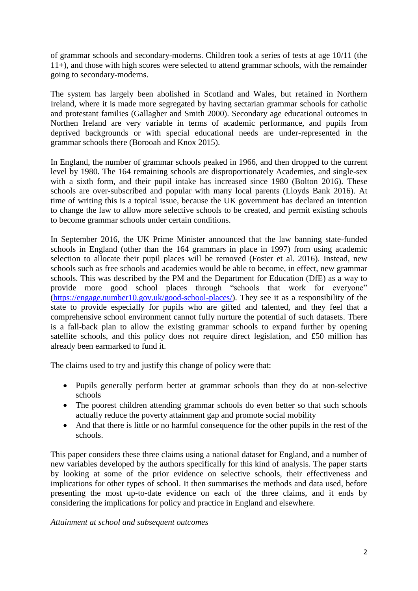of grammar schools and secondary-moderns. Children took a series of tests at age 10/11 (the 11+), and those with high scores were selected to attend grammar schools, with the remainder going to secondary-moderns.

The system has largely been abolished in Scotland and Wales, but retained in Northern Ireland, where it is made more segregated by having sectarian grammar schools for catholic and protestant families (Gallagher and Smith 2000). Secondary age educational outcomes in Northen Ireland are very variable in terms of academic performance, and pupils from deprived backgrounds or with special educational needs are under-represented in the grammar schools there (Borooah and Knox 2015).

In England, the number of grammar schools peaked in 1966, and then dropped to the current level by 1980. The 164 remaining schools are disproportionately Academies, and single-sex with a sixth form, and their pupil intake has increased since 1980 (Bolton 2016). These schools are over-subscribed and popular with many local parents (Lloyds Bank 2016). At time of writing this is a topical issue, because the UK government has declared an intention to change the law to allow more selective schools to be created, and permit existing schools to become grammar schools under certain conditions.

In September 2016, the UK Prime Minister announced that the law banning state-funded schools in England (other than the 164 grammars in place in 1997) from using academic selection to allocate their pupil places will be removed (Foster et al. 2016). Instead, new schools such as free schools and academies would be able to become, in effect, new grammar schools. This was described by the PM and the Department for Education (DfE) as a way to provide more good school places through "schools that work for everyone" [\(https://engage.number10.gov.uk/good-school-places/\)](https://engage.number10.gov.uk/good-school-places/). They see it as a responsibility of the state to provide especially for pupils who are gifted and talented, and they feel that a comprehensive school environment cannot fully nurture the potential of such datasets. There is a fall-back plan to allow the existing grammar schools to expand further by opening satellite schools, and this policy does not require direct legislation, and £50 million has already been earmarked to fund it.

The claims used to try and justify this change of policy were that:

- Pupils generally perform better at grammar schools than they do at non-selective schools
- The poorest children attending grammar schools do even better so that such schools actually reduce the poverty attainment gap and promote social mobility
- And that there is little or no harmful consequence for the other pupils in the rest of the schools.

This paper considers these three claims using a national dataset for England, and a number of new variables developed by the authors specifically for this kind of analysis. The paper starts by looking at some of the prior evidence on selective schools, their effectiveness and implications for other types of school. It then summarises the methods and data used, before presenting the most up-to-date evidence on each of the three claims, and it ends by considering the implications for policy and practice in England and elsewhere.

*Attainment at school and subsequent outcomes*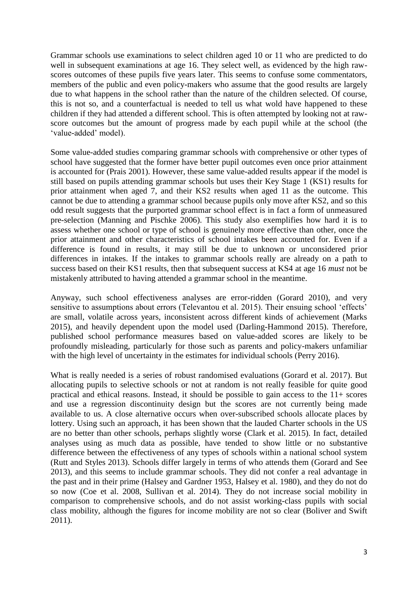Grammar schools use examinations to select children aged 10 or 11 who are predicted to do well in subsequent examinations at age 16. They select well, as evidenced by the high rawscores outcomes of these pupils five years later. This seems to confuse some commentators, members of the public and even policy-makers who assume that the good results are largely due to what happens in the school rather than the nature of the children selected. Of course, this is not so, and a counterfactual is needed to tell us what wold have happened to these children if they had attended a different school. This is often attempted by looking not at rawscore outcomes but the amount of progress made by each pupil while at the school (the 'value-added' model).

Some value-added studies comparing grammar schools with comprehensive or other types of school have suggested that the former have better pupil outcomes even once prior attainment is accounted for (Prais 2001). However, these same value-added results appear if the model is still based on pupils attending grammar schools but uses their Key Stage 1 (KS1) results for prior attainment when aged 7, and their KS2 results when aged 11 as the outcome. This cannot be due to attending a grammar school because pupils only move after KS2, and so this odd result suggests that the purported grammar school effect is in fact a form of unmeasured pre-selection (Manning and Pischke 2006). This study also exemplifies how hard it is to assess whether one school or type of school is genuinely more effective than other, once the prior attainment and other characteristics of school intakes been accounted for. Even if a difference is found in results, it may still be due to unknown or unconsidered prior differences in intakes. If the intakes to grammar schools really are already on a path to success based on their KS1 results, then that subsequent success at KS4 at age 16 *must* not be mistakenly attributed to having attended a grammar school in the meantime.

Anyway, such school effectiveness analyses are error-ridden (Gorard 2010), and very sensitive to assumptions about errors (Televantou et al. 2015). Their ensuing school 'effects' are small, volatile across years, inconsistent across different kinds of achievement (Marks 2015), and heavily dependent upon the model used (Darling-Hammond 2015). Therefore, published school performance measures based on value-added scores are likely to be profoundly misleading, particularly for those such as parents and policy-makers unfamiliar with the high level of uncertainty in the estimates for individual schools (Perry 2016).

What is really needed is a series of robust randomised evaluations (Gorard et al. 2017). But allocating pupils to selective schools or not at random is not really feasible for quite good practical and ethical reasons. Instead, it should be possible to gain access to the 11+ scores and use a regression discontinuity design but the scores are not currently being made available to us. A close alternative occurs when over-subscribed schools allocate places by lottery. Using such an approach, it has been shown that the lauded Charter schools in the US are no better than other schools, perhaps slightly worse (Clark et al. 2015). In fact, detailed analyses using as much data as possible, have tended to show little or no substantive difference between the effectiveness of any types of schools within a national school system (Rutt and Styles 2013). Schools differ largely in terms of who attends them (Gorard and See 2013), and this seems to include grammar schools. They did not confer a real advantage in the past and in their prime (Halsey and Gardner 1953, Halsey et al. 1980), and they do not do so now (Coe et al. 2008, [Sullivan](http://www.tandfonline.com/author/Sullivan%2C+Alice) et al. 2014). They do not increase social mobility in comparison to comprehensive schools, and do not assist working-class pupils with social class mobility, although the figures for income mobility are not so clear (Boliver and Swift 2011).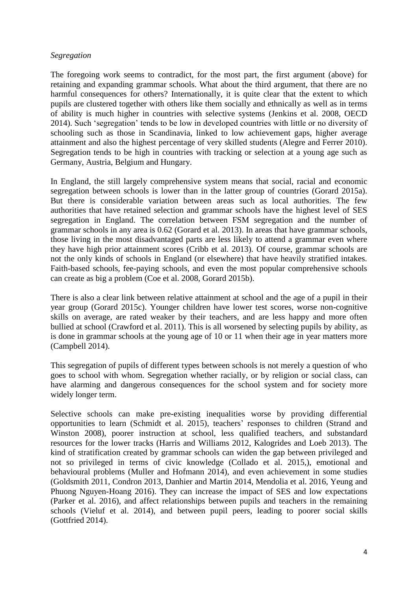## *Segregation*

The foregoing work seems to contradict, for the most part, the first argument (above) for retaining and expanding grammar schools. What about the third argument, that there are no harmful consequences for others? Internationally, it is quite clear that the extent to which pupils are clustered together with others like them socially and ethnically as well as in terms of ability is much higher in countries with selective systems (Jenkins et al. 2008, OECD 2014). Such 'segregation' tends to be low in developed countries with little or no diversity of schooling such as those in Scandinavia, linked to low achievement gaps, higher average attainment and also the highest percentage of very skilled students (Alegre and Ferrer 2010). Segregation tends to be high in countries with tracking or selection at a young age such as Germany, Austria, Belgium and Hungary.

In England, the still largely comprehensive system means that social, racial and economic segregation between schools is lower than in the latter group of countries (Gorard 2015a). But there is considerable variation between areas such as local authorities. The few authorities that have retained selection and grammar schools have the highest level of SES segregation in England. The correlation between FSM segregation and the number of grammar schools in any area is 0.62 (Gorard et al. 2013). In areas that have grammar schools, those living in the most disadvantaged parts are less likely to attend a grammar even where they have high prior attainment scores (Cribb et al. 2013). Of course, grammar schools are not the only kinds of schools in England (or elsewhere) that have heavily stratified intakes. Faith-based schools, fee-paying schools, and even the most popular comprehensive schools can create as big a problem (Coe et al. 2008, Gorard 2015b).

There is also a clear link between relative attainment at school and the age of a pupil in their year group (Gorard 2015c). Younger children have lower test scores, worse non-cognitive skills on average, are rated weaker by their teachers, and are less happy and more often bullied at school (Crawford et al. 2011). This is all worsened by selecting pupils by ability, as is done in grammar schools at the young age of 10 or 11 when their age in year matters more (Campbell 2014).

This segregation of pupils of different types between schools is not merely a question of who goes to school with whom. Segregation whether racially, or by religion or social class, can have alarming and dangerous consequences for the school system and for society more widely longer term.

Selective schools can make pre-existing inequalities worse by providing differential opportunities to learn (Schmidt et al. 2015), teachers' responses to children (Strand and Winston 2008), poorer instruction at school, less qualified teachers, and substandard resources for the lower tracks (Harris and Williams 2012, Kalogrides and Loeb 2013). The kind of stratification created by grammar schools can widen the gap between privileged and not so privileged in terms of civic knowledge (Collado et al. 2015,), emotional and behavioural problems (Muller and Hofmann 2014), and even achievement in some studies (Goldsmith 2011, Condron 2013, Danhier and Martin 2014, Mendolia et al. 2016, Yeung and Phuong Nguyen-Hoang 2016). They can increase the impact of SES and low expectations (Parker et al. 2016), and affect relationships between pupils and teachers in the remaining schools (Vieluf et al. 2014), and between pupil peers, leading to poorer social skills (Gottfried 2014).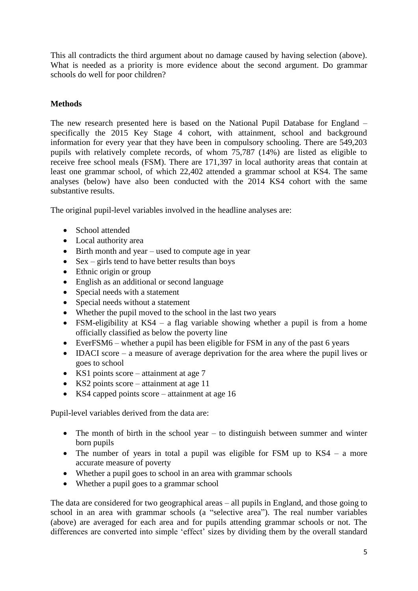This all contradicts the third argument about no damage caused by having selection (above). What is needed as a priority is more evidence about the second argument. Do grammar schools do well for poor children?

## **Methods**

The new research presented here is based on the National Pupil Database for England – specifically the 2015 Key Stage 4 cohort, with attainment, school and background information for every year that they have been in compulsory schooling. There are 549,203 pupils with relatively complete records, of whom 75,787 (14%) are listed as eligible to receive free school meals (FSM). There are 171,397 in local authority areas that contain at least one grammar school, of which 22,402 attended a grammar school at KS4. The same analyses (below) have also been conducted with the 2014 KS4 cohort with the same substantive results.

The original pupil-level variables involved in the headline analyses are:

- School attended
- Local authority area
- $\bullet$  Birth month and year used to compute age in year
- $\bullet$  Sex girls tend to have better results than boys
- Ethnic origin or group
- English as an additional or second language
- Special needs with a statement
- Special needs without a statement
- Whether the pupil moved to the school in the last two years
- FSM-eligibility at  $KS4 a$  flag variable showing whether a pupil is from a home officially classified as below the poverty line
- EverFSM6 whether a pupil has been eligible for FSM in any of the past 6 years
- IDACI score a measure of average deprivation for the area where the pupil lives or goes to school
- KS1 points score attainment at age 7
- KS2 points score attainment at age 11
- KS4 capped points score attainment at age 16

Pupil-level variables derived from the data are:

- The month of birth in the school year to distinguish between summer and winter born pupils
- The number of years in total a pupil was eligible for FSM up to  $KS4 a$  more accurate measure of poverty
- Whether a pupil goes to school in an area with grammar schools
- Whether a pupil goes to a grammar school

The data are considered for two geographical areas – all pupils in England, and those going to school in an area with grammar schools (a "selective area"). The real number variables (above) are averaged for each area and for pupils attending grammar schools or not. The differences are converted into simple 'effect' sizes by dividing them by the overall standard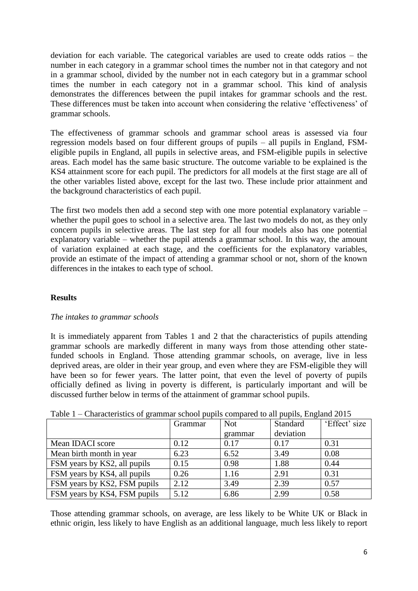deviation for each variable. The categorical variables are used to create odds ratios – the number in each category in a grammar school times the number not in that category and not in a grammar school, divided by the number not in each category but in a grammar school times the number in each category not in a grammar school. This kind of analysis demonstrates the differences between the pupil intakes for grammar schools and the rest. These differences must be taken into account when considering the relative 'effectiveness' of grammar schools.

The effectiveness of grammar schools and grammar school areas is assessed via four regression models based on four different groups of pupils – all pupils in England, FSMeligible pupils in England, all pupils in selective areas, and FSM-eligible pupils in selective areas. Each model has the same basic structure. The outcome variable to be explained is the KS4 attainment score for each pupil. The predictors for all models at the first stage are all of the other variables listed above, except for the last two. These include prior attainment and the background characteristics of each pupil.

The first two models then add a second step with one more potential explanatory variable – whether the pupil goes to school in a selective area. The last two models do not, as they only concern pupils in selective areas. The last step for all four models also has one potential explanatory variable – whether the pupil attends a grammar school. In this way, the amount of variation explained at each stage, and the coefficients for the explanatory variables, provide an estimate of the impact of attending a grammar school or not, shorn of the known differences in the intakes to each type of school.

## **Results**

## *The intakes to grammar schools*

It is immediately apparent from Tables 1 and 2 that the characteristics of pupils attending grammar schools are markedly different in many ways from those attending other statefunded schools in England. Those attending grammar schools, on average, live in less deprived areas, are older in their year group, and even where they are FSM-eligible they will have been so for fewer years. The latter point, that even the level of poverty of pupils officially defined as living in poverty is different, is particularly important and will be discussed further below in terms of the attainment of grammar school pupils.

|                              | Grammar | <b>Not</b><br>Standard |           | 'Effect' size |  |  |
|------------------------------|---------|------------------------|-----------|---------------|--|--|
|                              |         | grammar                | deviation |               |  |  |
| Mean IDACI score             | 0.12    | 0.17                   | 0.17      | 0.31          |  |  |
| Mean birth month in year     | 6.23    | 6.52                   | 3.49      | 0.08          |  |  |
| FSM years by KS2, all pupils | 0.15    | 0.98                   | 1.88      | 0.44          |  |  |
| FSM years by KS4, all pupils | 0.26    | 1.16                   | 2.91      | 0.31          |  |  |
| FSM years by KS2, FSM pupils | 2.12    | 3.49                   | 2.39      | 0.57          |  |  |
| FSM years by KS4, FSM pupils | 5.12    | 6.86                   | 2.99      | 0.58          |  |  |

Table  $1 -$ Characteristics of grammar school pupils compared to all pupils. England 2015

Those attending grammar schools, on average, are less likely to be White UK or Black in ethnic origin, less likely to have English as an additional language, much less likely to report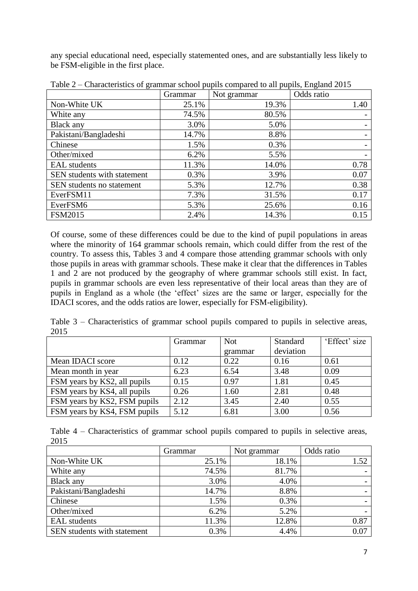any special educational need, especially statemented ones, and are substantially less likely to be FSM-eligible in the first place.

|                             | Grammar | Not grammar | Odds ratio |
|-----------------------------|---------|-------------|------------|
| Non-White UK                | 25.1%   | 19.3%       | 1.40       |
| White any                   | 74.5%   | 80.5%       |            |
| Black any                   | 3.0%    | 5.0%        |            |
| Pakistani/Bangladeshi       | 14.7%   | 8.8%        |            |
| Chinese                     | 1.5%    | 0.3%        |            |
| Other/mixed                 | 6.2%    | 5.5%        |            |
| <b>EAL</b> students         | 11.3%   | 14.0%       | 0.78       |
| SEN students with statement | 0.3%    | 3.9%        | 0.07       |
| SEN students no statement   | 5.3%    | 12.7%       | 0.38       |
| EverFSM11                   | 7.3%    | 31.5%       | 0.17       |
| EverFSM6                    | 5.3%    | 25.6%       | 0.16       |
| <b>FSM2015</b>              | 2.4%    | 14.3%       | 0.15       |

Table 2 – Characteristics of grammar school pupils compared to all pupils, England 2015

Of course, some of these differences could be due to the kind of pupil populations in areas where the minority of 164 grammar schools remain, which could differ from the rest of the country. To assess this, Tables 3 and 4 compare those attending grammar schools with only those pupils in areas with grammar schools. These make it clear that the differences in Tables 1 and 2 are not produced by the geography of where grammar schools still exist. In fact, pupils in grammar schools are even less representative of their local areas than they are of pupils in England as a whole (the 'effect' sizes are the same or larger, especially for the IDACI scores, and the odds ratios are lower, especially for FSM-eligibility).

Table 3 – Characteristics of grammar school pupils compared to pupils in selective areas, 2015

|                              | Grammar | <b>Not</b> | <b>Standard</b> | 'Effect' size |
|------------------------------|---------|------------|-----------------|---------------|
|                              |         | grammar    | deviation       |               |
| Mean IDACI score             | 0.12    | 0.22       | 0.16            | 0.61          |
| Mean month in year           | 6.23    | 6.54       | 3.48            | 0.09          |
| FSM years by KS2, all pupils | 0.15    | 0.97       | 1.81            | 0.45          |
| FSM years by KS4, all pupils | 0.26    | 1.60       | 2.81            | 0.48          |
| FSM years by KS2, FSM pupils | 2.12    | 3.45       | 2.40            | 0.55          |
| FSM years by KS4, FSM pupils | 5.12    | 6.81       | 3.00            | 0.56          |

| Table $4$ – Characteristics of grammar school pupils compared to pupils in selective areas, |  |  |  |
|---------------------------------------------------------------------------------------------|--|--|--|
| 2015                                                                                        |  |  |  |

|                             | Grammar | Not grammar | Odds ratio |
|-----------------------------|---------|-------------|------------|
| Non-White UK                | 25.1%   | 18.1%       | 1.52       |
| White any                   | 74.5%   | 81.7%       |            |
| Black any                   | 3.0%    | 4.0%        |            |
| Pakistani/Bangladeshi       | 14.7%   | 8.8%        |            |
| Chinese                     | 1.5%    | 0.3%        |            |
| Other/mixed                 | 6.2%    | 5.2%        |            |
| <b>EAL</b> students         | 11.3%   | 12.8%       | 0.87       |
| SEN students with statement | 0.3%    | 4.4%        |            |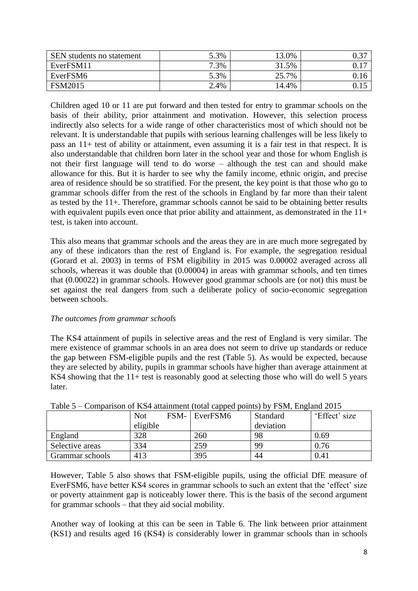| SEN students no statement | 5.3% | 13.0% | 0.37  |
|---------------------------|------|-------|-------|
| EverFSM11                 | 7.3% | 31.5% |       |
| EverFSM6                  | 5.3% | 25.7% | J. 10 |
| <b>FSM2015</b>            | 2.4% | 14.4% |       |

Children aged 10 or 11 are put forward and then tested for entry to grammar schools on the basis of their ability, prior attainment and motivation. However, this selection process indirectly also selects for a wide range of other characteristics most of which should not be relevant. It is understandable that pupils with serious learning challenges will be less likely to pass an 11+ test of ability or attainment, even assuming it is a fair test in that respect. It is also understandable that children born later in the school year and those for whom English is not their first language will tend to do worse – although the test can and should make allowance for this. But it is harder to see why the family income, ethnic origin, and precise area of residence should be so stratified. For the present, the key point is that those who go to grammar schools differ from the rest of the schools in England by far more than their talent as tested by the 11+. Therefore, grammar schools cannot be said to be obtaining better results with equivalent pupils even once that prior ability and attainment, as demonstrated in the 11+ test, is taken into account.

This also means that grammar schools and the areas they are in are much more segregated by any of these indicators than the rest of England is. For example, the segregation residual (Gorard et al. 2003) in terms of FSM eligibility in 2015 was 0.00002 averaged across all schools, whereas it was double that (0.00004) in areas with grammar schools, and ten times that (0.00022) in grammar schools. However good grammar schools are (or not) this must be set against the real dangers from such a deliberate policy of socio-economic segregation between schools.

## *The outcomes from grammar schools*

The KS4 attainment of pupils in selective areas and the rest of England is very similar. The mere existence of grammar schools in an area does not seem to drive up standards or reduce the gap between FSM-eligible pupils and the rest (Table 5). As would be expected, because they are selected by ability, pupils in grammar schools have higher than average attainment at KS4 showing that the 11+ test is reasonably good at selecting those who will do well 5 years later.

| 10010V          |            | Companion of the calcumnism (total eapped points) of 1 only England 2015 |           |               |
|-----------------|------------|--------------------------------------------------------------------------|-----------|---------------|
|                 | <b>Not</b> | FSM-   EverFSM6                                                          | Standard  | 'Effect' size |
|                 | eligible   |                                                                          | deviation |               |
| England         | 328        | 260                                                                      | 98        | 0.69          |
| Selective areas | 334        | 259                                                                      | 99        | 0.76          |
| Grammar schools | 413        | 395                                                                      | 44        | 0.41          |

Table 5 – Comparison of KS4 attainment (total capped points) by FSM, England 2015

However, Table 5 also shows that FSM-eligible pupils, using the official DfE measure of EverFSM6, have better KS4 scores in grammar schools to such an extent that the 'effect' size or poverty attainment gap is noticeably lower there. This is the basis of the second argument for grammar schools – that they aid social mobility.

Another way of looking at this can be seen in Table 6. The link between prior attainment (KS1) and results aged 16 (KS4) is considerably lower in grammar schools than in schools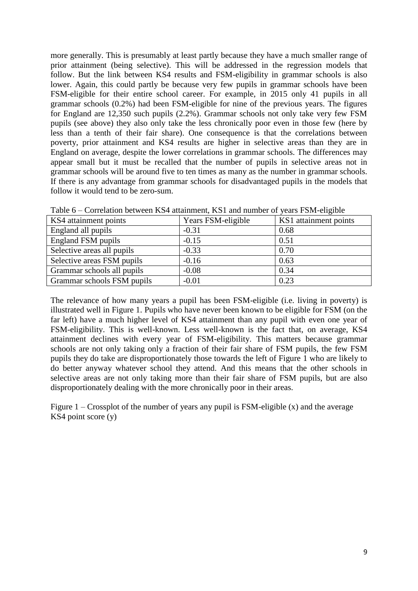more generally. This is presumably at least partly because they have a much smaller range of prior attainment (being selective). This will be addressed in the regression models that follow. But the link between KS4 results and FSM-eligibility in grammar schools is also lower. Again, this could partly be because very few pupils in grammar schools have been FSM-eligible for their entire school career. For example, in 2015 only 41 pupils in all grammar schools (0.2%) had been FSM-eligible for nine of the previous years. The figures for England are 12,350 such pupils (2.2%). Grammar schools not only take very few FSM pupils (see above) they also only take the less chronically poor even in those few (here by less than a tenth of their fair share). One consequence is that the correlations between poverty, prior attainment and KS4 results are higher in selective areas than they are in England on average, despite the lower correlations in grammar schools. The differences may appear small but it must be recalled that the number of pupils in selective areas not in grammar schools will be around five to ten times as many as the number in grammar schools. If there is any advantage from grammar schools for disadvantaged pupils in the models that follow it would tend to be zero-sum.

| KS4 attainment points      | Years FSM-eligible | KS1 attainment points |
|----------------------------|--------------------|-----------------------|
| England all pupils         | $-0.31$            | 0.68                  |
| England FSM pupils         | $-0.15$            | 0.51                  |
| Selective areas all pupils | $-0.33$            | 0.70                  |
| Selective areas FSM pupils | $-0.16$            | 0.63                  |
| Grammar schools all pupils | $-0.08$            | 0.34                  |
| Grammar schools FSM pupils | $-0.01$            | 0.23                  |

Table 6 – Correlation between KS4 attainment, KS1 and number of years FSM-eligible

The relevance of how many years a pupil has been FSM-eligible (i.e. living in poverty) is illustrated well in Figure 1. Pupils who have never been known to be eligible for FSM (on the far left) have a much higher level of KS4 attainment than any pupil with even one year of FSM-eligibility. This is well-known. Less well-known is the fact that, on average, KS4 attainment declines with every year of FSM-eligibility. This matters because grammar schools are not only taking only a fraction of their fair share of FSM pupils, the few FSM pupils they do take are disproportionately those towards the left of Figure 1 who are likely to do better anyway whatever school they attend. And this means that the other schools in selective areas are not only taking more than their fair share of FSM pupils, but are also disproportionately dealing with the more chronically poor in their areas.

Figure  $1 -$ Crossplot of the number of years any pupil is FSM-eligible (x) and the average KS4 point score (y)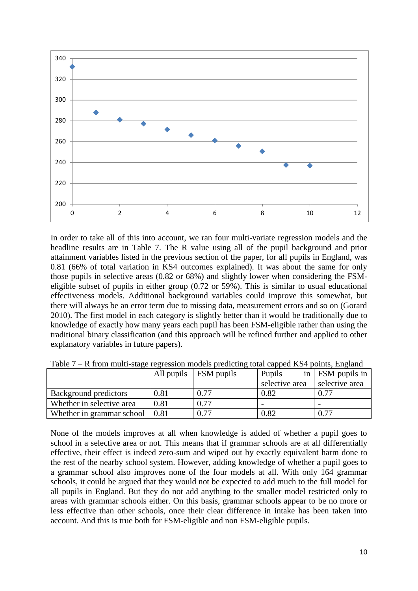

In order to take all of this into account, we ran four multi-variate regression models and the headline results are in Table 7. The R value using all of the pupil background and prior attainment variables listed in the previous section of the paper, for all pupils in England, was 0.81 (66% of total variation in KS4 outcomes explained). It was about the same for only those pupils in selective areas (0.82 or 68%) and slightly lower when considering the FSMeligible subset of pupils in either group (0.72 or 59%). This is similar to usual educational effectiveness models. Additional background variables could improve this somewhat, but there will always be an error term due to missing data, measurement errors and so on (Gorard 2010). The first model in each category is slightly better than it would be traditionally due to knowledge of exactly how many years each pupil has been FSM-eligible rather than using the traditional binary classification (and this approach will be refined further and applied to other explanatory variables in future papers).

|                                              |      | All pupils   FSM pupils | Pupils         | in $\vert$ FSM pupils in |
|----------------------------------------------|------|-------------------------|----------------|--------------------------|
|                                              |      |                         | selective area | selective area           |
| Background predictors                        | 0.81 | 0.77                    | 0.82           | 0.77                     |
| Whether in selective area                    | 0.81 | 0.77                    |                |                          |
| Whether in grammar school $\vert 0.81 \vert$ |      | 0.77                    | 0.82           | 0.77                     |

Table 7 – R from multi-stage regression models predicting total capped KS4 points, England

None of the models improves at all when knowledge is added of whether a pupil goes to school in a selective area or not. This means that if grammar schools are at all differentially effective, their effect is indeed zero-sum and wiped out by exactly equivalent harm done to the rest of the nearby school system. However, adding knowledge of whether a pupil goes to a grammar school also improves none of the four models at all. With only 164 grammar schools, it could be argued that they would not be expected to add much to the full model for all pupils in England. But they do not add anything to the smaller model restricted only to areas with grammar schools either. On this basis, grammar schools appear to be no more or less effective than other schools, once their clear difference in intake has been taken into account. And this is true both for FSM-eligible and non FSM-eligible pupils.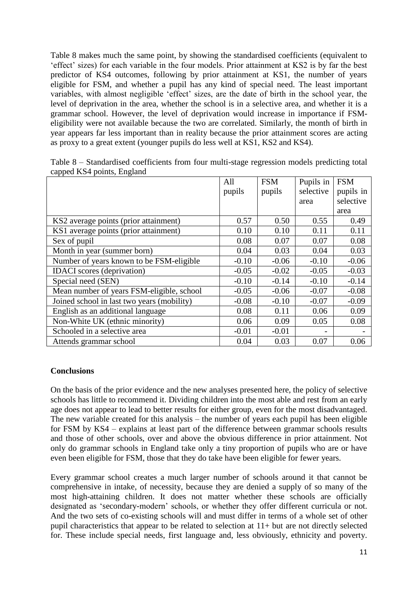Table 8 makes much the same point, by showing the standardised coefficients (equivalent to 'effect' sizes) for each variable in the four models. Prior attainment at KS2 is by far the best predictor of KS4 outcomes, following by prior attainment at KS1, the number of years eligible for FSM, and whether a pupil has any kind of special need. The least important variables, with almost negligible 'effect' sizes, are the date of birth in the school year, the level of deprivation in the area, whether the school is in a selective area, and whether it is a grammar school. However, the level of deprivation would increase in importance if FSMeligibility were not available because the two are correlated. Similarly, the month of birth in year appears far less important than in reality because the prior attainment scores are acting as proxy to a great extent (younger pupils do less well at KS1, KS2 and KS4).

| $_{\rm upper}$ and $_{\rm r}$ points, magnesial |         |            |           |            |
|-------------------------------------------------|---------|------------|-----------|------------|
|                                                 | All     | <b>FSM</b> | Pupils in | <b>FSM</b> |
|                                                 | pupils  | pupils     | selective | pupils in  |
|                                                 |         |            | area      | selective  |
|                                                 |         |            |           | area       |
| KS2 average points (prior attainment)           | 0.57    | 0.50       | 0.55      | 0.49       |
| KS1 average points (prior attainment)           | 0.10    | 0.10       | 0.11      | 0.11       |
| Sex of pupil                                    | 0.08    | 0.07       | 0.07      | 0.08       |
| Month in year (summer born)                     | 0.04    | 0.03       | 0.04      | 0.03       |
| Number of years known to be FSM-eligible        | $-0.10$ | $-0.06$    | $-0.10$   | $-0.06$    |
| <b>IDACI</b> scores (deprivation)               | $-0.05$ | $-0.02$    | $-0.05$   | $-0.03$    |
| Special need (SEN)                              | $-0.10$ | $-0.14$    | $-0.10$   | $-0.14$    |
| Mean number of years FSM-eligible, school       | $-0.05$ | $-0.06$    | $-0.07$   | $-0.08$    |
| Joined school in last two years (mobility)      | $-0.08$ | $-0.10$    | $-0.07$   | $-0.09$    |
| English as an additional language               | 0.08    | 0.11       | 0.06      | 0.09       |
| Non-White UK (ethnic minority)                  | 0.06    | 0.09       | 0.05      | 0.08       |
| Schooled in a selective area                    | $-0.01$ | $-0.01$    |           |            |
| Attends grammar school                          | 0.04    | 0.03       | 0.07      | 0.06       |

Table 8 – Standardised coefficients from four multi-stage regression models predicting total capped KS4 points, England

## **Conclusions**

On the basis of the prior evidence and the new analyses presented here, the policy of selective schools has little to recommend it. Dividing children into the most able and rest from an early age does not appear to lead to better results for either group, even for the most disadvantaged. The new variable created for this analysis – the number of years each pupil has been eligible for FSM by KS4 – explains at least part of the difference between grammar schools results and those of other schools, over and above the obvious difference in prior attainment. Not only do grammar schools in England take only a tiny proportion of pupils who are or have even been eligible for FSM, those that they do take have been eligible for fewer years.

Every grammar school creates a much larger number of schools around it that cannot be comprehensive in intake, of necessity, because they are denied a supply of so many of the most high-attaining children. It does not matter whether these schools are officially designated as 'secondary-modern' schools, or whether they offer different curricula or not. And the two sets of co-existing schools will and must differ in terms of a whole set of other pupil characteristics that appear to be related to selection at 11+ but are not directly selected for. These include special needs, first language and, less obviously, ethnicity and poverty.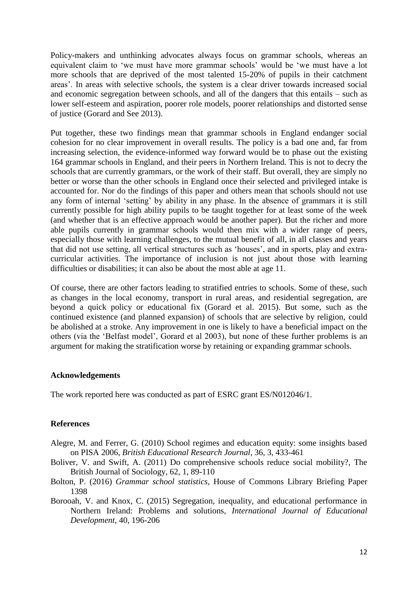Policy-makers and unthinking advocates always focus on grammar schools, whereas an equivalent claim to 'we must have more grammar schools' would be 'we must have a lot more schools that are deprived of the most talented 15-20% of pupils in their catchment areas'. In areas with selective schools, the system is a clear driver towards increased social and economic segregation between schools, and all of the dangers that this entails – such as lower self-esteem and aspiration, poorer role models, poorer relationships and distorted sense of justice (Gorard and See 2013).

Put together, these two findings mean that grammar schools in England endanger social cohesion for no clear improvement in overall results. The policy is a bad one and, far from increasing selection, the evidence-informed way forward would be to phase out the existing 164 grammar schools in England, and their peers in Northern Ireland. This is not to decry the schools that are currently grammars, or the work of their staff. But overall, they are simply no better or worse than the other schools in England once their selected and privileged intake is accounted for. Nor do the findings of this paper and others mean that schools should not use any form of internal 'setting' by ability in any phase. In the absence of grammars it is still currently possible for high ability pupils to be taught together for at least some of the week (and whether that is an effective approach would be another paper). But the richer and more able pupils currently in grammar schools would then mix with a wider range of peers, especially those with learning challenges, to the mutual benefit of all, in all classes and years that did not use setting, all vertical structures such as 'houses', and in sports, play and extracurricular activities. The importance of inclusion is not just about those with learning difficulties or disabilities; it can also be about the most able at age 11.

Of course, there are other factors leading to stratified entries to schools. Some of these, such as changes in the local economy, transport in rural areas, and residential segregation, are beyond a quick policy or educational fix (Gorard et al. 2015). But some, such as the continued existence (and planned expansion) of schools that are selective by religion, could be abolished at a stroke. Any improvement in one is likely to have a beneficial impact on the others (via the 'Belfast model', Gorard et al 2003), but none of these further problems is an argument for making the stratification worse by retaining or expanding grammar schools.

## **Acknowledgements**

The work reported here was conducted as part of ESRC grant ES/N012046/1.

## **References**

- Alegre, M. and Ferrer, G. (2010) School regimes and education equity: some insights based on PISA 2006, *British Educational Research Journal*, 36, 3, 433-461
- Boliver, V. and Swift, A. (2011) Do comprehensive schools reduce social mobility?, The British Journal of Sociology, 62, 1, 89-110
- Bolton, P. (2016) *Grammar school statistics*, House of Commons Library Briefing Paper 1398
- Borooah, V. and Knox, C. (2015) Segregation, inequality, and educational performance in Northern Ireland: Problems and solutions, *International Journal of Educational Development*, 40, 196-206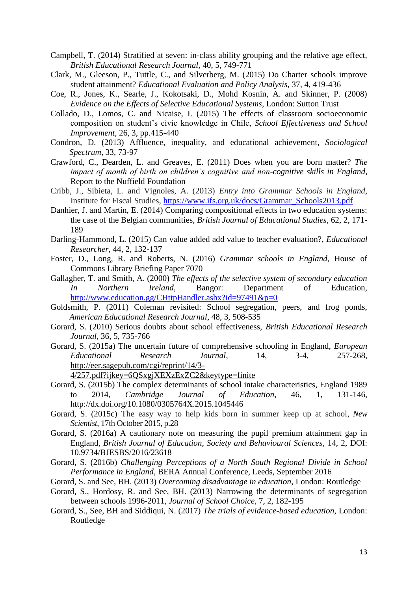- Campbell, T. (2014) Stratified at seven: in-class ability grouping and the relative age effect, *British Educational Research Journal,* 40, 5, 749-771
- Clark, M., Gleeson, P., Tuttle, C., and Silverberg, M. (2015) Do Charter schools improve student attainment? *Educational Evaluation and Policy Analysis*, 37, 4, 419-436
- Coe, R., Jones, K., Searle, J., Kokotsaki, D., Mohd Kosnin, A. and Skinner, P. (2008) *Evidence on the Effects of Selective Educational Systems*, London: Sutton Trust
- Collado, D., Lomos, C. and Nicaise, I. (2015) The effects of classroom socioeconomic composition on student's civic knowledge in Chile, *School Effectiveness and School Improvement,* 26, 3, pp.415-440
- Condron, D. (2013) Affluence, inequality, and educational achievement*, Sociological Spectrum*, 33, 73-97
- Crawford, C., Dearden, L. and Greaves, E. (2011) Does when you are born matter? *The impact of month of birth on children's cognitive and non-cognitive skills in England*, Report to the Nuffield Foundation
- Cribb, J., Sibieta, L. and Vignoles, A. (2013) *Entry into Grammar Schools in England,*  Institute for Fiscal Studies, [https://www.ifs.org.uk/docs/Grammar\\_Schools2013.pdf](https://www.ifs.org.uk/docs/Grammar_Schools2013.pdf)
- Danhier, J. and Martin, E. (2014) Comparing compositional effects in two education systems: the case of the Belgian communities, *British Journal of Educational Studies*, 62, 2, 171- 189
- Darling-Hammond, L. (2015) Can value added add value to teacher evaluation?, *Educational Researcher*, 44, 2, 132-137
- Foster, D., Long, R. and Roberts, N. (2016) *Grammar schools in England*, House of Commons Library Briefing Paper 7070
- Gallagher, T. and Smith, A. (2000) *The effects of the selective system of secondary education In Northern Ireland*, Bangor: Department of Education, <http://www.education.gg/CHttpHandler.ashx?id=97491&p=0>
- Goldsmith, P. (2011) Coleman revisited: School segregation, peers, and frog ponds, *American Educational Research Journal*, 48, 3, 508-535
- Gorard, S. (2010) Serious doubts about school effectiveness, *British Educational Research Journal*, 36, 5, 735-766
- Gorard, S. (2015a) The uncertain future of comprehensive schooling in England, *European Educational Research Journal*, 14, 3-4, 257-268, [http://eer.sagepub.com/cgi/reprint/14/3-](https://owa.dur.ac.uk/owa/redir.aspx?C=k_agZitvw0Wf83S3AhpcWQbb50BrndIIFdxqqODrYoXjzw1l-8iw_D2mUAemwXy0NfpMNTOZrPw.&URL=http%3a%2f%2feer.sagepub.com%2fcgi%2freprint%2f14%2f3-4%2f257.pdf%3fijkey%3d6QSxgjXEXzExZC2%26keytype%3dfinite)

## [4/257.pdf?ijkey=6QSxgjXEXzExZC2&keytype=finite](https://owa.dur.ac.uk/owa/redir.aspx?C=k_agZitvw0Wf83S3AhpcWQbb50BrndIIFdxqqODrYoXjzw1l-8iw_D2mUAemwXy0NfpMNTOZrPw.&URL=http%3a%2f%2feer.sagepub.com%2fcgi%2freprint%2f14%2f3-4%2f257.pdf%3fijkey%3d6QSxgjXEXzExZC2%26keytype%3dfinite)

- Gorard, S. (2015b) The complex determinants of school intake characteristics, England 1989 to 2014, *Cambridge Journal of Education*, 46, 1, 131-146, <http://dx.doi.org/10.1080/0305764X.2015.1045446>
- Gorard, S. (2015c) The easy way to help kids born in summer keep up at school, *New Scientist*, 17th October 2015, p.28
- Gorard, S. (2016a) A cautionary note on measuring the pupil premium attainment gap in England, *British Journal of Education, Society and Behavioural Sciences*, 14, 2, DOI: 10.9734/BJESBS/2016/23618
- Gorard, S. (2016b) *Challenging Perceptions of a North South Regional Divide in School Performance in England*, BERA Annual Conference, Leeds, September 2016
- Gorard, S. and See, BH. (2013) *Overcoming disadvantage in education*, London: Routledge
- Gorard, S., Hordosy, R. and See, BH. (2013) Narrowing the determinants of segregation between schools 1996-2011, *Journal of School Choice,* 7, 2, 182-195
- Gorard, S., See, BH and Siddiqui, N. (2017) *The trials of evidence-based education*, London: Routledge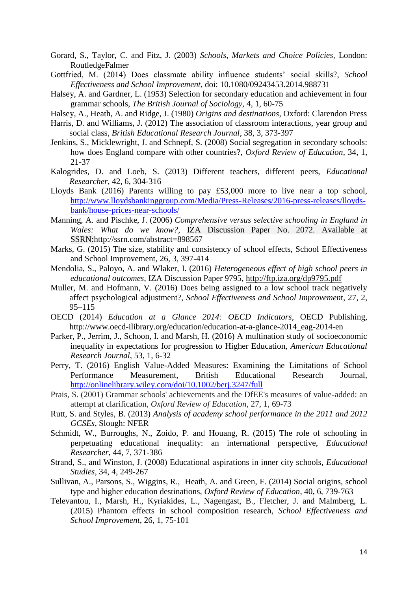- Gorard, S., Taylor, C. and Fitz, J. (2003) *Schools, Markets and Choice Policies,* London: RoutledgeFalmer
- Gottfried, M. (2014) Does classmate ability influence students' social skills?, *School Effectiveness and School Improvement*, doi: 10.1080/09243453.2014.988731
- Halsey, A. and Gardner, L. (1953) Selection for secondary education and achievement in four grammar schools, *The British Journal of Sociology,* 4, 1, 60-75

Halsey, A., Heath, A. and Ridge, J. (1980) *Origins and destinations*, Oxford: Clarendon Press

- Harris, D. and Williams, J. (2012) The association of classroom interactions, year group and social class, *British Educational Research Journal*, 38, 3, 373-397
- [Jenkins,](http://www.tandfonline.com/author/Jenkins%2C+Stephen+P) S., [Micklewright, J.](http://www.tandfonline.com/author/Micklewright%2C+John) and [Schnepf,](http://www.tandfonline.com/author/Schnepf%2C+Sylke+V) S. (2008) Social segregation in secondary schools: how does England compare with other countries?, *Oxford Review of Education*, 34, 1, 21-37
- Kalogrides, D. and Loeb, S. (2013) Different teachers, different peers, *Educational Researcher*, 42, 6, 304-316
- Lloyds Bank (2016) Parents willing to pay £53,000 more to live near a top school, [http://www.lloydsbankinggroup.com/Media/Press-Releases/2016-press-releases/lloyds](http://www.lloydsbankinggroup.com/Media/Press-Releases/2016-press-releases/lloyds-bank/house-prices-near-schools/)[bank/house-prices-near-schools/](http://www.lloydsbankinggroup.com/Media/Press-Releases/2016-press-releases/lloyds-bank/house-prices-near-schools/)
- Manning, A. and Pischke, J. (2006) *Comprehensive versus selective schooling in England in Wales: What do we know?*, IZA Discussion Paper No. 2072. Available at SSRN[:http://ssrn.com/abstract=898567](http://ssrn.com/abstract=898567)
- Marks, G. (2015) The size, stability and consistency of school effects, School Effectiveness and School Improvement, 26, 3, 397-414
- Mendolia, S., Paloyo, A. and Wlaker, I. (2016) *Heterogeneous effect of high school peers in educational outcomes*, IZA Discussion Paper 9795,<http://ftp.iza.org/dp9795.pdf>
- Muller, M. and Hofmann, V. (2016) Does being assigned to a low school track negatively affect psychological adjustment?, *School Effectiveness and School Improvemen*t, 27, 2, 95–115
- OECD (2014) *Education at a Glance 2014: OECD Indicators*, OECD Publishing, http://www.oecd-ilibrary.org/education/education-at-a-glance-2014\_eag-2014-en
- Parker, P., Jerrim, J., Schoon, I. and Marsh, H. (2016) A multination study of socioeconomic inequality in expectations for progression to Higher Education, *American Educational Research Journal*, 53, 1, 6-32
- Perry, T. (2016) English Value-Added Measures: Examining the Limitations of School Performance Measurement, British Educational Research Journal, <http://onlinelibrary.wiley.com/doi/10.1002/berj.3247/full>
- Prais, S. (2001) Grammar schools' achievements and the DfEE's measures of value-added: an attempt at clarification, *Oxford Review of Education*, 27, 1, 69-73
- Rutt, S. and Styles, B. (2013) *Analysis of academy school performance in the 2011 and 2012 GCSEs*, Slough: NFER
- Schmidt, W., Burroughs, N., Zoido, P. and Houang, R. (2015) The role of schooling in perpetuating educational inequality: an international perspective, *Educational Researcher*, 44, 7, 371-386
- Strand, S., and Winston, J. (2008) Educational aspirations in inner city schools, *Educational Studies*, 34, 4, 249-267
- [Sullivan,](http://www.tandfonline.com/author/Sullivan%2C+Alice) A., [Parsons,](http://www.tandfonline.com/author/Parsons%2C+Samantha) S., [Wiggins,](http://www.tandfonline.com/author/Wiggins%2C+Richard) R., [Heath,](http://www.tandfonline.com/author/Heath%2C+Anthony) A. and [Green,](http://www.tandfonline.com/author/Green%2C+Francis) F. (2014) Social origins, school type and higher education destinations, *Oxford Review of Education*, 40, 6, 739-763
- Televantou, I., Marsh, H., Kyriakides, L., Nagengast, B., Fletcher, J. and Malmberg, L. (2015) Phantom effects in school composition research, *School Effectiveness and School Improvement*, 26, 1, 75-101